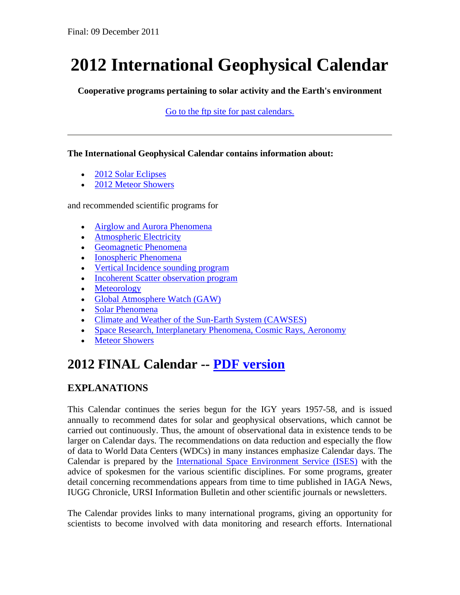# **2012 International Geophysical Calendar**

**Cooperative programs pertaining to solar activity and the Earth's environment**

[Go to the ftp site for past calendars.](ftp://ftp.ngdc.noaa.gov/STP/publications/igc_calendars/)

#### **The International Geophysical Calendar contains information about:**

- [2012 Solar Eclipses](#page-1-0)
- [2012 Meteor Showers](#page-2-0)

and recommended scientific programs for

- [Airglow and Aurora Phenomena](#page-4-0)
- [Atmospheric Electricity](#page-4-1)
- [Geomagnetic Phenomena](#page-4-2)
- [Ionospheric Phenomena](#page-5-0)
- [Vertical Incidence sounding program](#page-5-1)
- [Incoherent Scatter observation program](#page-5-2)
- [Meteorology](#page-6-0)
- [Global Atmosphere Watch \(GAW\)](#page-7-0)
- [Solar Phenomena](#page-7-1)
- [Climate and Weather of the Sun-Earth System \(CAWSES\)](#page-7-2)
- [Space Research, Interplanetary Phenomena, Cosmic Rays, Aeronomy](#page-8-0)
- [Meteor Showers](#page-8-1)

# **2012 FINAL Calendar -- [PDF version](ftp://ftp.ngdc.noaa.gov/STP/publications/igc_calendars/2012/)**

# **EXPLANATIONS**

This Calendar continues the series begun for the IGY years 1957-58, and is issued annually to recommend dates for solar and geophysical observations, which cannot be carried out continuously. Thus, the amount of observational data in existence tends to be larger on Calendar days. The recommendations on data reduction and especially the flow of data to World Data Centers (WDCs) in many instances emphasize Calendar days. The Calendar is prepared by the [International Space Environment Service \(ISES\)](http://www.ises-spaceweather.org/) with the advice of spokesmen for the various scientific disciplines. For some programs, greater detail concerning recommendations appears from time to time published in IAGA News, IUGG Chronicle, URSI Information Bulletin and other scientific journals or newsletters.

The Calendar provides links to many international programs, giving an opportunity for scientists to become involved with data monitoring and research efforts. International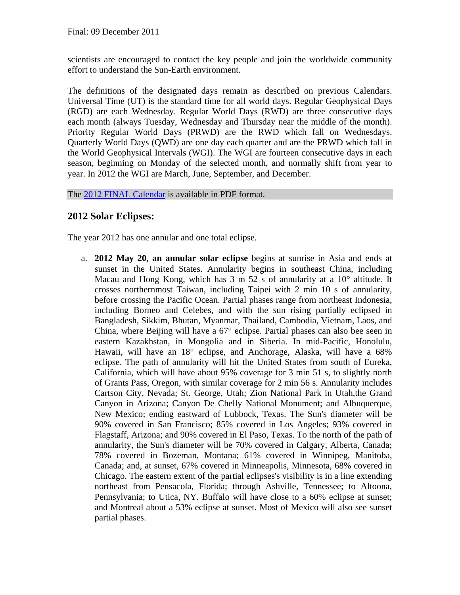scientists are encouraged to contact the key people and join the worldwide community effort to understand the Sun-Earth environment.

The definitions of the designated days remain as described on previous Calendars. Universal Time (UT) is the standard time for all world days. Regular Geophysical Days (RGD) are each Wednesday. Regular World Days (RWD) are three consecutive days each month (always Tuesday, Wednesday and Thursday near the middle of the month). Priority Regular World Days (PRWD) are the RWD which fall on Wednesdays. Quarterly World Days (QWD) are one day each quarter and are the PRWD which fall in the World Geophysical Intervals (WGI). The WGI are fourteen consecutive days in each season, beginning on Monday of the selected month, and normally shift from year to year. In 2012 the WGI are March, June, September, and December.

The [2012 FINAL Calendar](ftp://ftp.ngdc.noaa.gov/STP/publications/igc_calendars/2012/) is available in PDF format.

## <span id="page-1-0"></span>**2012 Solar Eclipses:**

The year 2012 has one annular and one total eclipse.

a. **2012 May 20, an annular solar eclipse** begins at sunrise in Asia and ends at sunset in the United States. Annularity begins in southeast China, including Macau and Hong Kong, which has 3 m 52 s of annularity at a 10° altitude. It crosses northernmost Taiwan, including Taipei with 2 min 10 s of annularity, before crossing the Pacific Ocean. Partial phases range from northeast Indonesia, including Borneo and Celebes, and with the sun rising partially eclipsed in Bangladesh, Sikkim, Bhutan, Myanmar, Thailand, Cambodia, Vietnam, Laos, and China, where Beijing will have a 67° eclipse. Partial phases can also bee seen in eastern Kazakhstan, in Mongolia and in Siberia. In mid-Pacific, Honolulu, Hawaii, will have an 18° eclipse, and Anchorage, Alaska, will have a 68% eclipse. The path of annularity will hit the United States from south of Eureka, California, which will have about 95% coverage for 3 min 51 s, to slightly north of Grants Pass, Oregon, with similar coverage for 2 min 56 s. Annularity includes Cartson City, Nevada; St. George, Utah; Zion National Park in Utah,the Grand Canyon in Arizona; Canyon De Chelly National Monument; and Albuquerque, New Mexico; ending eastward of Lubbock, Texas. The Sun's diameter will be 90% covered in San Francisco; 85% covered in Los Angeles; 93% covered in Flagstaff, Arizona; and 90% covered in El Paso, Texas. To the north of the path of annularity, the Sun's diameter will be 70% covered in Calgary, Alberta, Canada; 78% covered in Bozeman, Montana; 61% covered in Winnipeg, Manitoba, Canada; and, at sunset, 67% covered in Minneapolis, Minnesota, 68% covered in Chicago. The eastern extent of the partial eclipses's visibility is in a line extending northeast from Pensacola, Florida; through Ashville, Tennessee; to Altoona, Pennsylvania; to Utica, NY. Buffalo will have close to a 60% eclipse at sunset; and Montreal about a 53% eclipse at sunset. Most of Mexico will also see sunset partial phases.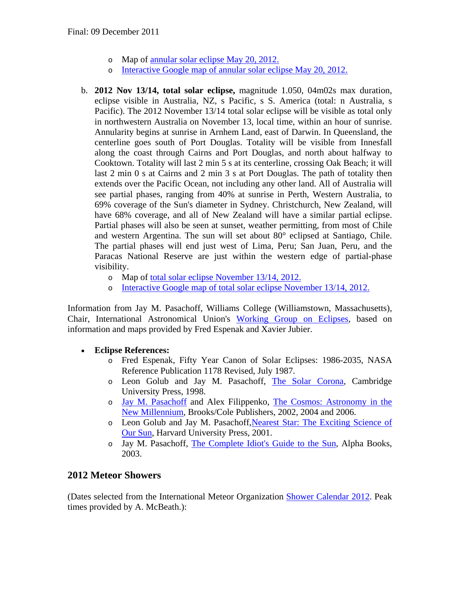- o Map of [annular solar eclipse May 20, 2012.](http://eclipse.gsfc.nasa.gov/SEplot/SEplot2001/SE2012May20A.GIF)
- o [Interactive Google map of annular solar eclipse May 20, 2012.](http://xjubier.free.fr/en/site_pages/solar_eclipses/xSE_GoogleMapFull.php?Ecl=+20120520&Acc=2&Umb=1&Lmt=1&Mag=1&Max=1)
- b. **2012 Nov 13/14, total solar eclipse,** magnitude 1.050, 04m02s max duration, eclipse visible in Australia, NZ, s Pacific, s S. America (total: n Australia, s Pacific). The 2012 November 13/14 total solar eclipse will be visible as total only in northwestern Australia on November 13, local time, within an hour of sunrise. Annularity begins at sunrise in Arnhem Land, east of Darwin. In Queensland, the centerline goes south of Port Douglas. Totality will be visible from Innesfall along the coast through Cairns and Port Douglas, and north about halfway to Cooktown. Totality will last 2 min 5 s at its centerline, crossing Oak Beach; it will last 2 min 0 s at Cairns and 2 min 3 s at Port Douglas. The path of totality then extends over the Pacific Ocean, not including any other land. All of Australia will see partial phases, ranging from 40% at sunrise in Perth, Western Australia, to 69% coverage of the Sun's diameter in Sydney. Christchurch, New Zealand, will have 68% coverage, and all of New Zealand will have a similar partial eclipse. Partial phases will also be seen at sunset, weather permitting, from most of Chile and western Argentina. The sun will set about 80° eclipsed at Santiago, Chile. The partial phases will end just west of Lima, Peru; San Juan, Peru, and the Paracas National Reserve are just within the western edge of partial-phase visibility.
	- o Map of [total solar eclipse November 13/14, 2012.](http://eclipse.gsfc.nasa.gov/SEplot/SEplot2001/SE2012Nov13T.GIF)
	- o [Interactive Google map of total solar eclipse November 13/14, 2012.](http://xjubier.free.fr/en/site_pages/solar_eclipses/xSE_GoogleMapFull.php?Ecl=+20121113&Acc=2&Umb=1&Lmt=1&Mag=1&Max=1)

Information from Jay M. Pasachoff, Williams College (Williamstown, Massachusetts), Chair, International Astronomical Union's [Working Group on Eclipses,](http://www.eclipses.info/) based on information and maps provided by Fred Espenak and Xavier Jubier.

#### • **Eclipse References:**

- o Fred Espenak, Fifty Year Canon of Solar Eclipses: 1986-2035, NASA Reference Publication 1178 Revised, July 1987.
- o Leon Golub and Jay M. Pasachoff, [The Solar Corona,](http://www.williams.edu/Astronomy/corona) Cambridge University Press, 1998.
- o [Jay M. Pasachoff](http://www.williams.edu/Astronomy/jay) and Alex Filippenko, [The Cosmos: Astronomy in the](http://www.brookscole.com/cgi-wadsworth/course_products_wp.pl?fid=M20b&product_isbn_issn=9780495013037&discipline_number=0)  [New Millennium,](http://www.brookscole.com/cgi-wadsworth/course_products_wp.pl?fid=M20b&product_isbn_issn=9780495013037&discipline_number=0) Brooks/Cole Publishers, 2002, 2004 and 2006.
- o Leon Golub and Jay M. Pasachoff[,Nearest Star: The Exciting Science of](http://www.williams.edu/astronomy/neareststar)  [Our Sun,](http://www.williams.edu/astronomy/neareststar) Harvard University Press, 2001.
- o Jay M. Pasachoff, [The Complete Idiot's Guide to the Sun,](http://www.williams.edu/astronomy/sun) Alpha Books, 2003.

#### <span id="page-2-0"></span>**2012 Meteor Showers**

(Dates selected from the International Meteor Organization [Shower Calendar 2012.](http://www.imo.net/calendar/2012) Peak times provided by A. McBeath.):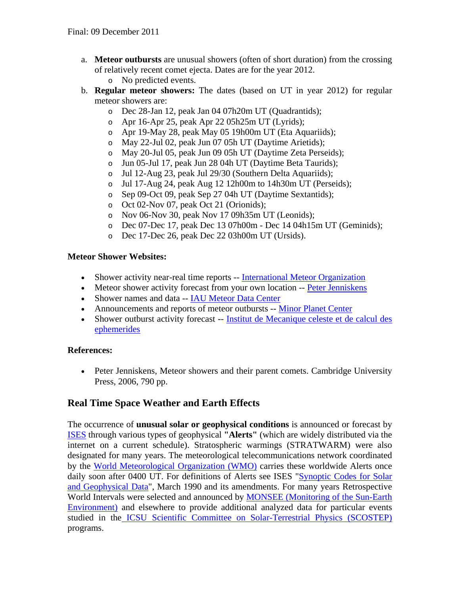- a. **Meteor outbursts** are unusual showers (often of short duration) from the crossing of relatively recent comet ejecta. Dates are for the year 2012.
	- o No predicted events.
- b. **Regular meteor showers:** The dates (based on UT in year 2012) for regular meteor showers are:
	- o Dec 28-Jan 12, peak Jan 04 07h20m UT (Quadrantids);
	- o Apr 16-Apr 25, peak Apr 22 05h25m UT (Lyrids);
	- o Apr 19-May 28, peak May 05 19h00m UT (Eta Aquariids);
	- o May 22-Jul 02, peak Jun 07 05h UT (Daytime Arietids);
	- o May 20-Jul 05, peak Jun 09 05h UT (Daytime Zeta Perseids);
	- o Jun 05-Jul 17, peak Jun 28 04h UT (Daytime Beta Taurids);
	- o Jul 12-Aug 23, peak Jul 29/30 (Southern Delta Aquariids);
	- o Jul 17-Aug 24, peak Aug 12 12h00m to 14h30m UT (Perseids);
	- o Sep 09-Oct 09, peak Sep 27 04h UT (Daytime Sextantids);
	- o Oct 02-Nov 07, peak Oct 21 (Orionids);
	- o Nov 06-Nov 30, peak Nov 17 09h35m UT (Leonids);
	- o Dec 07-Dec 17, peak Dec 13 07h00m Dec 14 04h15m UT (Geminids);
	- o Dec 17-Dec 26, peak Dec 22 03h00m UT (Ursids).

#### **Meteor Shower Websites:**

- Shower activity near-real time reports -- [International Meteor Organization](http://www.imo.net/)
- Meteor shower activity forecast from your own location -- [Peter Jenniskens](http://leonid.arc.nasa.gov/estimator.html)
- Shower names and data -- IAU [Meteor Data Center](http://www.astro.amu.edu.pl/~jopek/MDC2007/index.php)
- Announcements and reports of meteor outbursts -- [Minor Planet Center](http://minorplanetcenter.net/)
- Shower outburst activity forecast -- Institut de Mecanique celeste et de calcul des [ephemerides](http://www.imcce.fr/page.php?nav=en/ephemerides/phenomenes/meteor/index.php)

#### **References:**

• Peter Jenniskens, Meteor showers and their parent comets. Cambridge University Press, 2006, 790 pp.

## **Real Time Space Weather and Earth Effects**

The occurrence of **unusual solar or geophysical conditions** is announced or forecast by [ISES](http://ises-spaceweather.org/) through various types of geophysical **"Alerts"** (which are widely distributed via the internet on a current schedule). Stratospheric warmings (STRATWARM) were also designated for many years. The meteorological telecommunications network coordinated by the [World Meteorological Organization \(WMO\)](http://www.wmo.ch/) carries these worldwide Alerts once daily soon after 0400 UT. For definitions of Alerts see ISES "Synoptic Codes for Solar [and Geophysical Data"](http://ises-spaceweather.org/ISES.php?target=Code_Book&id=p2&include=Code_Book&title=URSIgram+Codes), March 1990 and its amendments. For many years Retrospective World Intervals were selected and announced by [MONSEE \(Monitoring of the Sun-Earth](http://www.ips.gov.au/IPSHosted/INAG/inag06/inag06.htm#10.1)  [Environment\)](http://www.ips.gov.au/IPSHosted/INAG/inag06/inag06.htm#10.1) and elsewhere to provide additional analyzed data for particular events studied in the [ICSU Scientific Committee on Solar-Terrestrial Physics \(SCOSTEP\)](http://www.yorku.ca/scostep/) programs.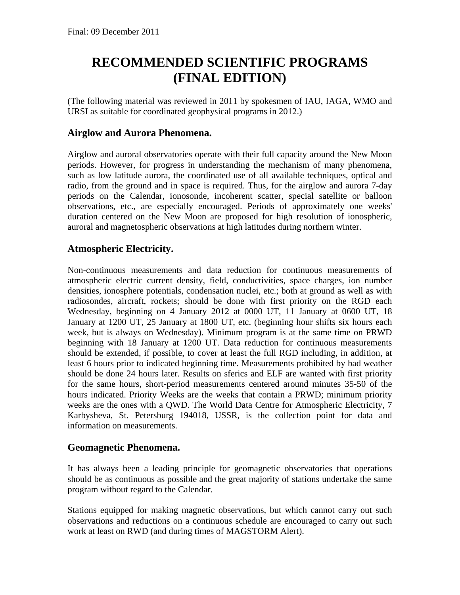# **RECOMMENDED SCIENTIFIC PROGRAMS (FINAL EDITION)**

(The following material was reviewed in 2011 by spokesmen of IAU, IAGA, WMO and URSI as suitable for coordinated geophysical programs in 2012.)

# <span id="page-4-0"></span>**Airglow and Aurora Phenomena.**

Airglow and auroral observatories operate with their full capacity around the New Moon periods. However, for progress in understanding the mechanism of many phenomena, such as low latitude aurora, the coordinated use of all available techniques, optical and radio, from the ground and in space is required. Thus, for the airglow and aurora 7-day periods on the Calendar, ionosonde, incoherent scatter, special satellite or balloon observations, etc., are especially encouraged. Periods of approximately one weeks' duration centered on the New Moon are proposed for high resolution of ionospheric, auroral and magnetospheric observations at high latitudes during northern winter.

## <span id="page-4-1"></span>**Atmospheric Electricity.**

Non-continuous measurements and data reduction for continuous measurements of atmospheric electric current density, field, conductivities, space charges, ion number densities, ionosphere potentials, condensation nuclei, etc.; both at ground as well as with radiosondes, aircraft, rockets; should be done with first priority on the RGD each Wednesday, beginning on 4 January 2012 at 0000 UT, 11 January at 0600 UT, 18 January at 1200 UT, 25 January at 1800 UT, etc. (beginning hour shifts six hours each week, but is always on Wednesday). Minimum program is at the same time on PRWD beginning with 18 January at 1200 UT. Data reduction for continuous measurements should be extended, if possible, to cover at least the full RGD including, in addition, at least 6 hours prior to indicated beginning time. Measurements prohibited by bad weather should be done 24 hours later. Results on sferics and ELF are wanted with first priority for the same hours, short-period measurements centered around minutes 35-50 of the hours indicated. Priority Weeks are the weeks that contain a PRWD; minimum priority weeks are the ones with a QWD. The World Data Centre for Atmospheric Electricity, 7 Karbysheva, St. Petersburg 194018, USSR, is the collection point for data and information on measurements.

#### <span id="page-4-2"></span>**Geomagnetic Phenomena.**

It has always been a leading principle for geomagnetic observatories that operations should be as continuous as possible and the great majority of stations undertake the same program without regard to the Calendar.

Stations equipped for making magnetic observations, but which cannot carry out such observations and reductions on a continuous schedule are encouraged to carry out such work at least on RWD (and during times of MAGSTORM Alert).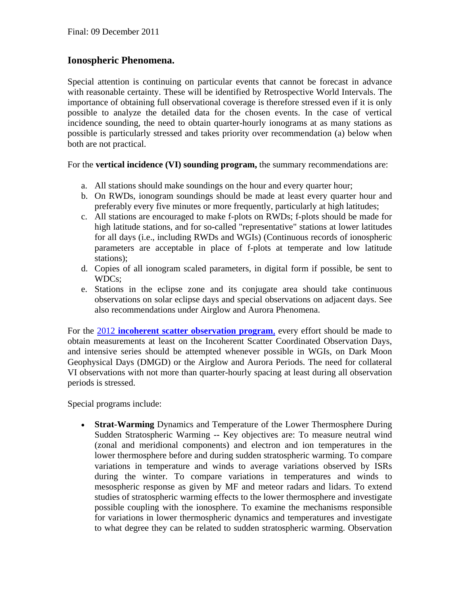## <span id="page-5-0"></span>**Ionospheric Phenomena.**

Special attention is continuing on particular events that cannot be forecast in advance with reasonable certainty. These will be identified by Retrospective World Intervals. The importance of obtaining full observational coverage is therefore stressed even if it is only possible to analyze the detailed data for the chosen events. In the case of vertical incidence sounding, the need to obtain quarter-hourly ionograms at as many stations as possible is particularly stressed and takes priority over recommendation (a) below when both are not practical.

<span id="page-5-1"></span>For the **vertical incidence (VI) sounding program,** the summary recommendations are:

- a. All stations should make soundings on the hour and every quarter hour;
- b. On RWDs, ionogram soundings should be made at least every quarter hour and preferably every five minutes or more frequently, particularly at high latitudes;
- c. All stations are encouraged to make f-plots on RWDs; f-plots should be made for high latitude stations, and for so-called "representative" stations at lower latitudes for all days (i.e., including RWDs and WGIs) (Continuous records of ionospheric parameters are acceptable in place of f-plots at temperate and low latitude stations);
- d. Copies of all ionogram scaled parameters, in digital form if possible, be sent to WDCs;
- e. Stations in the eclipse zone and its conjugate area should take continuous observations on solar eclipse days and special observations on adjacent days. See also recommendations under Airglow and Aurora Phenomena.

<span id="page-5-2"></span>For the 2012 **[incoherent scatter observation program](http://e7.eiscat.se/Members/ingemar/skedule/WD2012.htm)**, every effort should be made to obtain measurements at least on the Incoherent Scatter Coordinated Observation Days, and intensive series should be attempted whenever possible in WGIs, on Dark Moon Geophysical Days (DMGD) or the Airglow and Aurora Periods. The need for collateral VI observations with not more than quarter-hourly spacing at least during all observation periods is stressed.

Special programs include:

• **Strat-Warming** Dynamics and Temperature of the Lower Thermosphere During Sudden Stratospheric Warming -- Key objectives are: To measure neutral wind (zonal and meridional components) and electron and ion temperatures in the lower thermosphere before and during sudden stratospheric warming. To compare variations in temperature and winds to average variations observed by ISRs during the winter. To compare variations in temperatures and winds to mesospheric response as given by MF and meteor radars and lidars. To extend studies of stratospheric warming effects to the lower thermosphere and investigate possible coupling with the ionosphere. To examine the mechanisms responsible for variations in lower thermospheric dynamics and temperatures and investigate to what degree they can be related to sudden stratospheric warming. Observation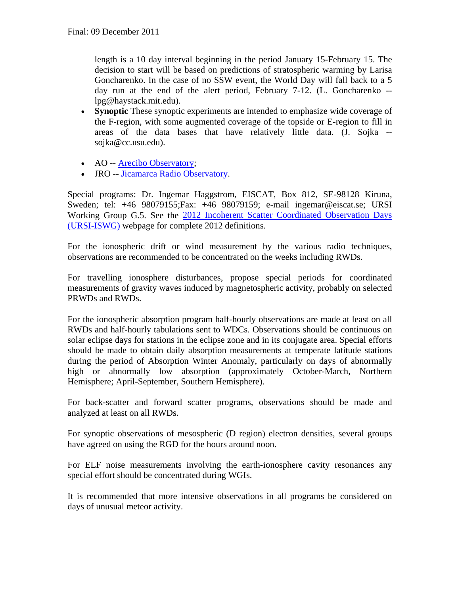length is a 10 day interval beginning in the period January 15-February 15. The decision to start will be based on predictions of stratospheric warming by Larisa Goncharenko. In the case of no SSW event, the World Day will fall back to a 5 day run at the end of the alert period, February 7-12. (L. Goncharenko - lpg@haystack.mit.edu).

- **Synoptic** These synoptic experiments are intended to emphasize wide coverage of the F-region, with some augmented coverage of the topside or E-region to fill in areas of the data bases that have relatively little data. (J. Sojka - sojka@cc.usu.edu).
- AO -- [Arecibo Observatory;](http://www.naic.edu/aisr/olmon2/omframedoc.html)
- JRO -- [Jicamarca Radio Observatory.](http://jro.igp.gob.pe/english/radar/operation/real-time_en.php)

Special programs: Dr. Ingemar Haggstrom, EISCAT, Box 812, SE-98128 Kiruna, Sweden; tel: +46 98079155;Fax: +46 98079159; e-mail ingemar@eiscat.se; URSI Working Group G.5. See the [2012 Incoherent Scatter Coordinated Observation Days](http://e7.eiscat.se/Members/ingemar/skedule/WD2012.htm)  [\(URSI-ISWG\)](http://e7.eiscat.se/Members/ingemar/skedule/WD2012.htm) webpage for complete 2012 definitions.

For the ionospheric drift or wind measurement by the various radio techniques, observations are recommended to be concentrated on the weeks including RWDs.

For travelling ionosphere disturbances, propose special periods for coordinated measurements of gravity waves induced by magnetospheric activity, probably on selected PRWDs and RWDs.

For the ionospheric absorption program half-hourly observations are made at least on all RWDs and half-hourly tabulations sent to WDCs. Observations should be continuous on solar eclipse days for stations in the eclipse zone and in its conjugate area. Special efforts should be made to obtain daily absorption measurements at temperate latitude stations during the period of Absorption Winter Anomaly, particularly on days of abnormally high or abnormally low absorption (approximately October-March, Northern Hemisphere; April-September, Southern Hemisphere).

For back-scatter and forward scatter programs, observations should be made and analyzed at least on all RWDs.

For synoptic observations of mesospheric (D region) electron densities, several groups have agreed on using the RGD for the hours around noon.

For ELF noise measurements involving the earth-ionosphere cavity resonances any special effort should be concentrated during WGIs.

<span id="page-6-0"></span>It is recommended that more intensive observations in all programs be considered on days of unusual meteor activity.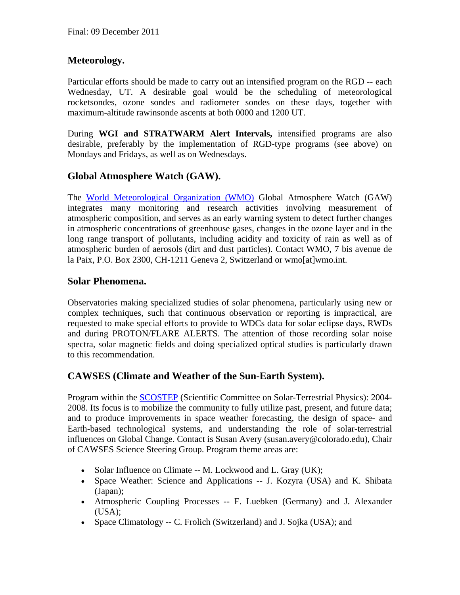# **Meteorology.**

Particular efforts should be made to carry out an intensified program on the RGD -- each Wednesday, UT. A desirable goal would be the scheduling of meteorological rocketsondes, ozone sondes and radiometer sondes on these days, together with maximum-altitude rawinsonde ascents at both 0000 and 1200 UT.

During **WGI and STRATWARM Alert Intervals,** intensified programs are also desirable, preferably by the implementation of RGD-type programs (see above) on Mondays and Fridays, as well as on Wednesdays.

## <span id="page-7-0"></span>**Global Atmosphere Watch (GAW).**

The [World Meteorological Organization \(WMO\)](http://www.wmo.ch/) Global Atmosphere Watch (GAW) integrates many monitoring and research activities involving measurement of atmospheric composition, and serves as an early warning system to detect further changes in atmospheric concentrations of greenhouse gases, changes in the ozone layer and in the long range transport of pollutants, including acidity and toxicity of rain as well as of atmospheric burden of aerosols (dirt and dust particles). Contact WMO, 7 bis avenue de la Paix, P.O. Box 2300, CH-1211 Geneva 2, Switzerland or wmo[at]wmo.int.

#### <span id="page-7-1"></span>**Solar Phenomena.**

Observatories making specialized studies of solar phenomena, particularly using new or complex techniques, such that continuous observation or reporting is impractical, are requested to make special efforts to provide to WDCs data for solar eclipse days, RWDs and during PROTON/FLARE ALERTS. The attention of those recording solar noise spectra, solar magnetic fields and doing specialized optical studies is particularly drawn to this recommendation.

## <span id="page-7-2"></span>**CAWSES (Climate and Weather of the Sun-Earth System).**

Program within the [SCOSTEP](http://www.yorku.ca/scostep/) (Scientific Committee on Solar-Terrestrial Physics): 2004- 2008. Its focus is to mobilize the community to fully utilize past, present, and future data; and to produce improvements in space weather forecasting, the design of space- and Earth-based technological systems, and understanding the role of solar-terrestrial influences on Global Change. Contact is Susan Avery (susan.avery@colorado.edu), Chair of CAWSES Science Steering Group. Program theme areas are:

- Solar Influence on Climate -- M. Lockwood and L. Gray (UK);
- Space Weather: Science and Applications -- J. Kozyra (USA) and K. Shibata (Japan);
- Atmospheric Coupling Processes -- F. Luebken (Germany) and J. Alexander  $(USA):$
- Space Climatology -- C. Frolich (Switzerland) and J. Sojka (USA); and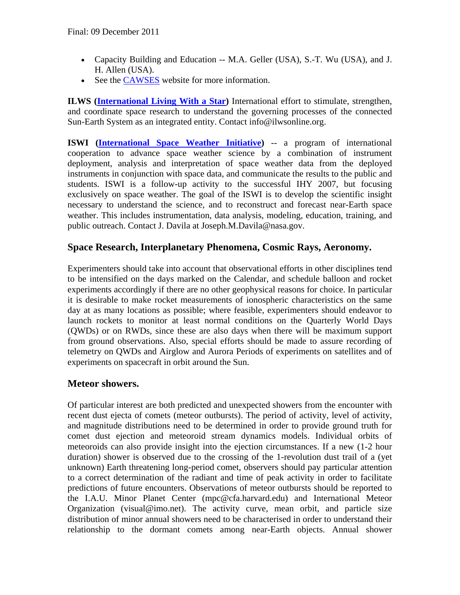- Capacity Building and Education -- M.A. Geller (USA), S.-T. Wu (USA), and J. H. Allen (USA).
- See the [CAWSES](http://www.bu.edu/cawses/) website for more information.

**ILWS [\(International Living With a Star\)](http://ilwsonline.org/)** International effort to stimulate, strengthen, and coordinate space research to understand the governing processes of the connected Sun-Earth System as an integrated entity. Contact info@ilwsonline.org.

**ISWI [\(International Space Weather Initiative\)](http://www.iswi-secretariat.org/)** -- a program of international cooperation to advance space weather science by a combination of instrument deployment, analysis and interpretation of space weather data from the deployed instruments in conjunction with space data, and communicate the results to the public and students. ISWI is a follow-up activity to the successful IHY 2007, but focusing exclusively on space weather. The goal of the ISWI is to develop the scientific insight necessary to understand the science, and to reconstruct and forecast near-Earth space weather. This includes instrumentation, data analysis, modeling, education, training, and public outreach. Contact J. Davila at Joseph.M.Davila@nasa.gov.

## <span id="page-8-0"></span>**Space Research, Interplanetary Phenomena, Cosmic Rays, Aeronomy.**

Experimenters should take into account that observational efforts in other disciplines tend to be intensified on the days marked on the Calendar, and schedule balloon and rocket experiments accordingly if there are no other geophysical reasons for choice. In particular it is desirable to make rocket measurements of ionospheric characteristics on the same day at as many locations as possible; where feasible, experimenters should endeavor to launch rockets to monitor at least normal conditions on the Quarterly World Days (QWDs) or on RWDs, since these are also days when there will be maximum support from ground observations. Also, special efforts should be made to assure recording of telemetry on QWDs and Airglow and Aurora Periods of experiments on satellites and of experiments on spacecraft in orbit around the Sun.

## <span id="page-8-1"></span>**Meteor showers.**

Of particular interest are both predicted and unexpected showers from the encounter with recent dust ejecta of comets (meteor outbursts). The period of activity, level of activity, and magnitude distributions need to be determined in order to provide ground truth for comet dust ejection and meteoroid stream dynamics models. Individual orbits of meteoroids can also provide insight into the ejection circumstances. If a new (1-2 hour duration) shower is observed due to the crossing of the 1-revolution dust trail of a (yet unknown) Earth threatening long-period comet, observers should pay particular attention to a correct determination of the radiant and time of peak activity in order to facilitate predictions of future encounters. Observations of meteor outbursts should be reported to the I.A.U. Minor Planet Center (mpc@cfa.harvard.edu) and International Meteor Organization (visual@imo.net). The activity curve, mean orbit, and particle size distribution of minor annual showers need to be characterised in order to understand their relationship to the dormant comets among near-Earth objects. Annual shower